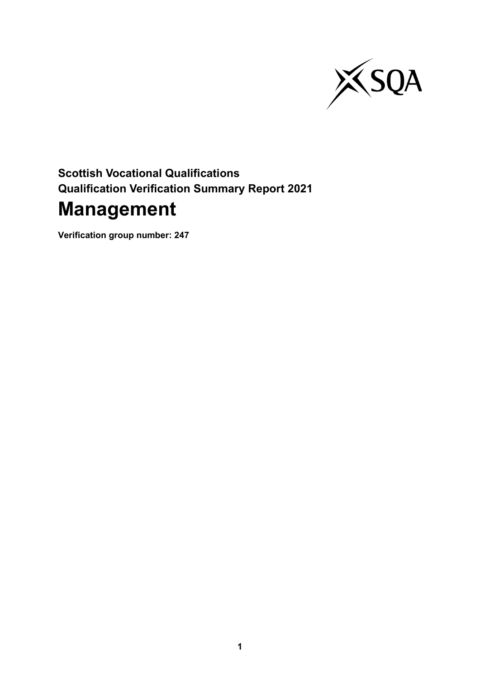

# **Scottish Vocational Qualifications Qualification Verification Summary Report 2021 Management**

**Verification group number: 247**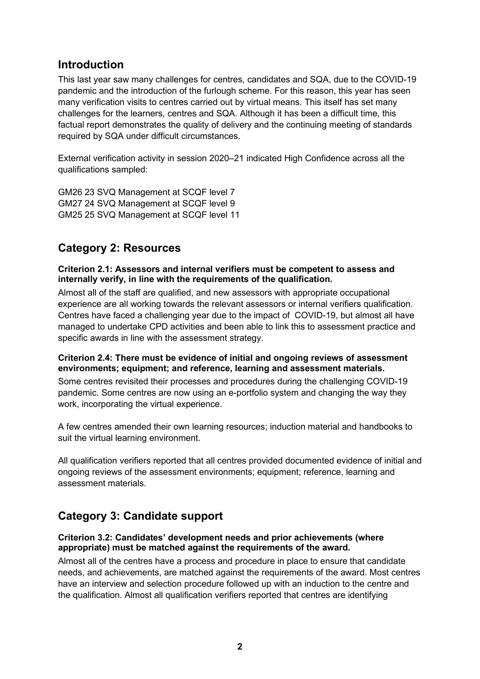# **Introduction**

This last year saw many challenges for centres, candidates and SQA, due to the COVID-19 pandemic and the introduction of the furlough scheme. For this reason, this year has seen many verification visits to centres carried out by virtual means. This itself has set many challenges for the learners, centres and SQA. Although it has been a difficult time, this factual report demonstrates the quality of delivery and the continuing meeting of standards required by SQA under difficult circumstances.

External verification activity in session 2020–21 indicated High Confidence across all the qualifications sampled:

GM26 23 SVQ Management at SCQF level 7 GM27 24 SVQ Management at SCQF level 9 GM25 25 SVQ Management at SCQF level 11

# **Category 2: Resources**

**Criterion 2.1: Assessors and internal verifiers must be competent to assess and internally verify, in line with the requirements of the qualification.**

Almost all of the staff are qualified, and new assessors with appropriate occupational experience are all working towards the relevant assessors or internal verifiers qualification. Centres have faced a challenging year due to the impact of COVID-19, but almost all have managed to undertake CPD activities and been able to link this to assessment practice and specific awards in line with the assessment strategy.

### **Criterion 2.4: There must be evidence of initial and ongoing reviews of assessment environments; equipment; and reference, learning and assessment materials.**

Some centres revisited their processes and procedures during the challenging COVID-19 pandemic. Some centres are now using an e-portfolio system and changing the way they work, incorporating the virtual experience.

A few centres amended their own learning resources; induction material and handbooks to suit the virtual learning environment.

All qualification verifiers reported that all centres provided documented evidence of initial and ongoing reviews of the assessment environments; equipment; reference, learning and assessment materials.

# **Category 3: Candidate support**

### **Criterion 3.2: Candidates' development needs and prior achievements (where appropriate) must be matched against the requirements of the award.**

Almost all of the centres have a process and procedure in place to ensure that candidate needs, and achievements, are matched against the requirements of the award. Most centres have an interview and selection procedure followed up with an induction to the centre and the qualification. Almost all qualification verifiers reported that centres are identifying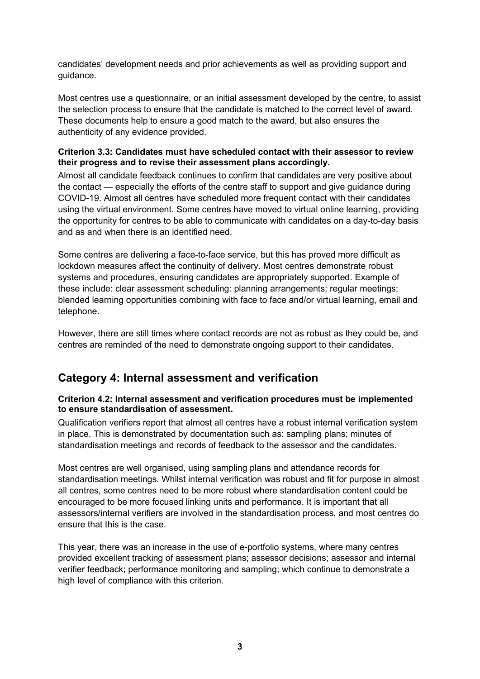candidates' development needs and prior achievements as well as providing support and guidance.

Most centres use a questionnaire, or an initial assessment developed by the centre, to assist the selection process to ensure that the candidate is matched to the correct level of award. These documents help to ensure a good match to the award, but also ensures the authenticity of any evidence provided.

### **Criterion 3.3: Candidates must have scheduled contact with their assessor to review their progress and to revise their assessment plans accordingly.**

Almost all candidate feedback continues to confirm that candidates are very positive about the contact — especially the efforts of the centre staff to support and give guidance during COVID-19. Almost all centres have scheduled more frequent contact with their candidates using the virtual environment. Some centres have moved to virtual online learning, providing the opportunity for centres to be able to communicate with candidates on a day-to-day basis and as and when there is an identified need.

Some centres are delivering a face-to-face service, but this has proved more difficult as lockdown measures affect the continuity of delivery. Most centres demonstrate robust systems and procedures, ensuring candidates are appropriately supported. Example of these include: clear assessment scheduling: planning arrangements; regular meetings; blended learning opportunities combining with face to face and/or virtual learning, email and telephone.

However, there are still times where contact records are not as robust as they could be, and centres are reminded of the need to demonstrate ongoing support to their candidates.

# **Category 4: Internal assessment and verification**

### **Criterion 4.2: Internal assessment and verification procedures must be implemented to ensure standardisation of assessment.**

Qualification verifiers report that almost all centres have a robust internal verification system in place. This is demonstrated by documentation such as: sampling plans; minutes of standardisation meetings and records of feedback to the assessor and the candidates.

Most centres are well organised, using sampling plans and attendance records for standardisation meetings. Whilst internal verification was robust and fit for purpose in almost all centres, some centres need to be more robust where standardisation content could be encouraged to be more focused linking units and performance. It is important that all assessors/internal verifiers are involved in the standardisation process, and most centres do ensure that this is the case.

This year, there was an increase in the use of e-portfolio systems, where many centres provided excellent tracking of assessment plans; assessor decisions; assessor and internal verifier feedback; performance monitoring and sampling; which continue to demonstrate a high level of compliance with this criterion.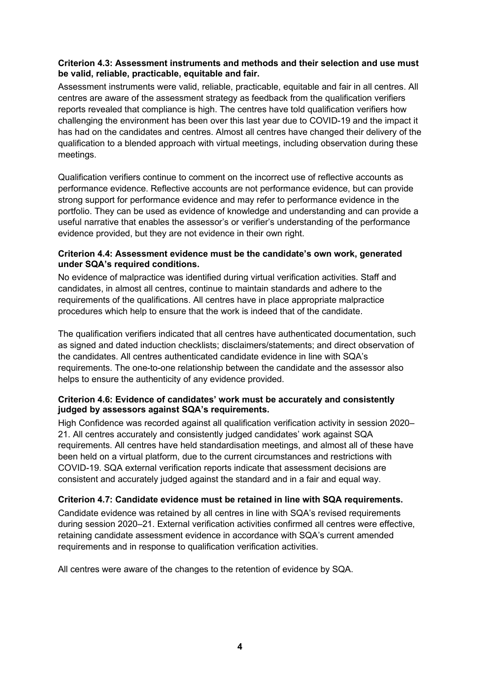### **Criterion 4.3: Assessment instruments and methods and their selection and use must be valid, reliable, practicable, equitable and fair.**

Assessment instruments were valid, reliable, practicable, equitable and fair in all centres. All centres are aware of the assessment strategy as feedback from the qualification verifiers reports revealed that compliance is high. The centres have told qualification verifiers how challenging the environment has been over this last year due to COVID-19 and the impact it has had on the candidates and centres. Almost all centres have changed their delivery of the qualification to a blended approach with virtual meetings, including observation during these meetings.

Qualification verifiers continue to comment on the incorrect use of reflective accounts as performance evidence. Reflective accounts are not performance evidence, but can provide strong support for performance evidence and may refer to performance evidence in the portfolio. They can be used as evidence of knowledge and understanding and can provide a useful narrative that enables the assessor's or verifier's understanding of the performance evidence provided, but they are not evidence in their own right.

### **Criterion 4.4: Assessment evidence must be the candidate's own work, generated under SQA's required conditions.**

No evidence of malpractice was identified during virtual verification activities. Staff and candidates, in almost all centres, continue to maintain standards and adhere to the requirements of the qualifications. All centres have in place appropriate malpractice procedures which help to ensure that the work is indeed that of the candidate.

The qualification verifiers indicated that all centres have authenticated documentation, such as signed and dated induction checklists; disclaimers/statements; and direct observation of the candidates. All centres authenticated candidate evidence in line with SQA's requirements. The one-to-one relationship between the candidate and the assessor also helps to ensure the authenticity of any evidence provided.

### **Criterion 4.6: Evidence of candidates' work must be accurately and consistently judged by assessors against SQA's requirements.**

High Confidence was recorded against all qualification verification activity in session 2020– 21. All centres accurately and consistently judged candidates' work against SQA requirements. All centres have held standardisation meetings, and almost all of these have been held on a virtual platform, due to the current circumstances and restrictions with COVID-19. SQA external verification reports indicate that assessment decisions are consistent and accurately judged against the standard and in a fair and equal way.

## **Criterion 4.7: Candidate evidence must be retained in line with SQA requirements.**

Candidate evidence was retained by all centres in line with SQA's revised requirements during session 2020–21. External verification activities confirmed all centres were effective, retaining candidate assessment evidence in accordance with SQA's current amended requirements and in response to qualification verification activities.

All centres were aware of the changes to the retention of evidence by SQA.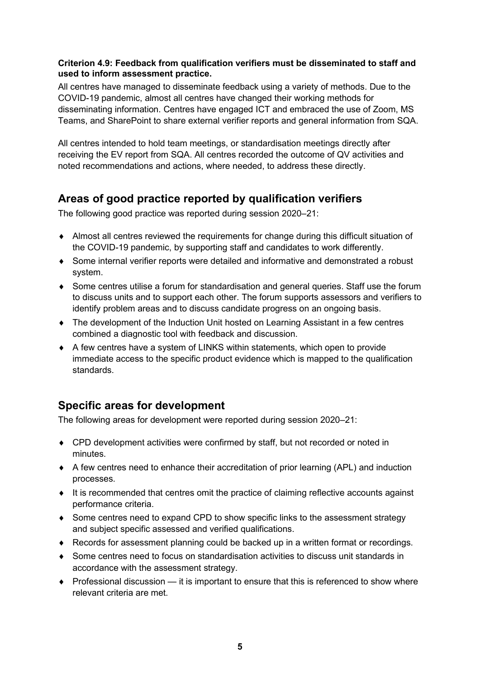### **Criterion 4.9: Feedback from qualification verifiers must be disseminated to staff and used to inform assessment practice.**

All centres have managed to disseminate feedback using a variety of methods. Due to the COVID-19 pandemic, almost all centres have changed their working methods for disseminating information. Centres have engaged ICT and embraced the use of Zoom, MS Teams, and SharePoint to share external verifier reports and general information from SQA.

All centres intended to hold team meetings, or standardisation meetings directly after receiving the EV report from SQA. All centres recorded the outcome of QV activities and noted recommendations and actions, where needed, to address these directly.

# **Areas of good practice reported by qualification verifiers**

The following good practice was reported during session 2020–21:

- ♦ Almost all centres reviewed the requirements for change during this difficult situation of the COVID-19 pandemic, by supporting staff and candidates to work differently.
- ♦ Some internal verifier reports were detailed and informative and demonstrated a robust system.
- ♦ Some centres utilise a forum for standardisation and general queries. Staff use the forum to discuss units and to support each other. The forum supports assessors and verifiers to identify problem areas and to discuss candidate progress on an ongoing basis.
- ♦ The development of the Induction Unit hosted on Learning Assistant in a few centres combined a diagnostic tool with feedback and discussion.
- ♦ A few centres have a system of LINKS within statements, which open to provide immediate access to the specific product evidence which is mapped to the qualification standards.

# **Specific areas for development**

The following areas for development were reported during session 2020–21:

- ♦ CPD development activities were confirmed by staff, but not recorded or noted in minutes.
- ♦ A few centres need to enhance their accreditation of prior learning (APL) and induction processes.
- ♦ It is recommended that centres omit the practice of claiming reflective accounts against performance criteria.
- Some centres need to expand CPD to show specific links to the assessment strategy and subject specific assessed and verified qualifications.
- ♦ Records for assessment planning could be backed up in a written format or recordings.
- ♦ Some centres need to focus on standardisation activities to discuss unit standards in accordance with the assessment strategy.
- $\bullet$  Professional discussion it is important to ensure that this is referenced to show where relevant criteria are met.